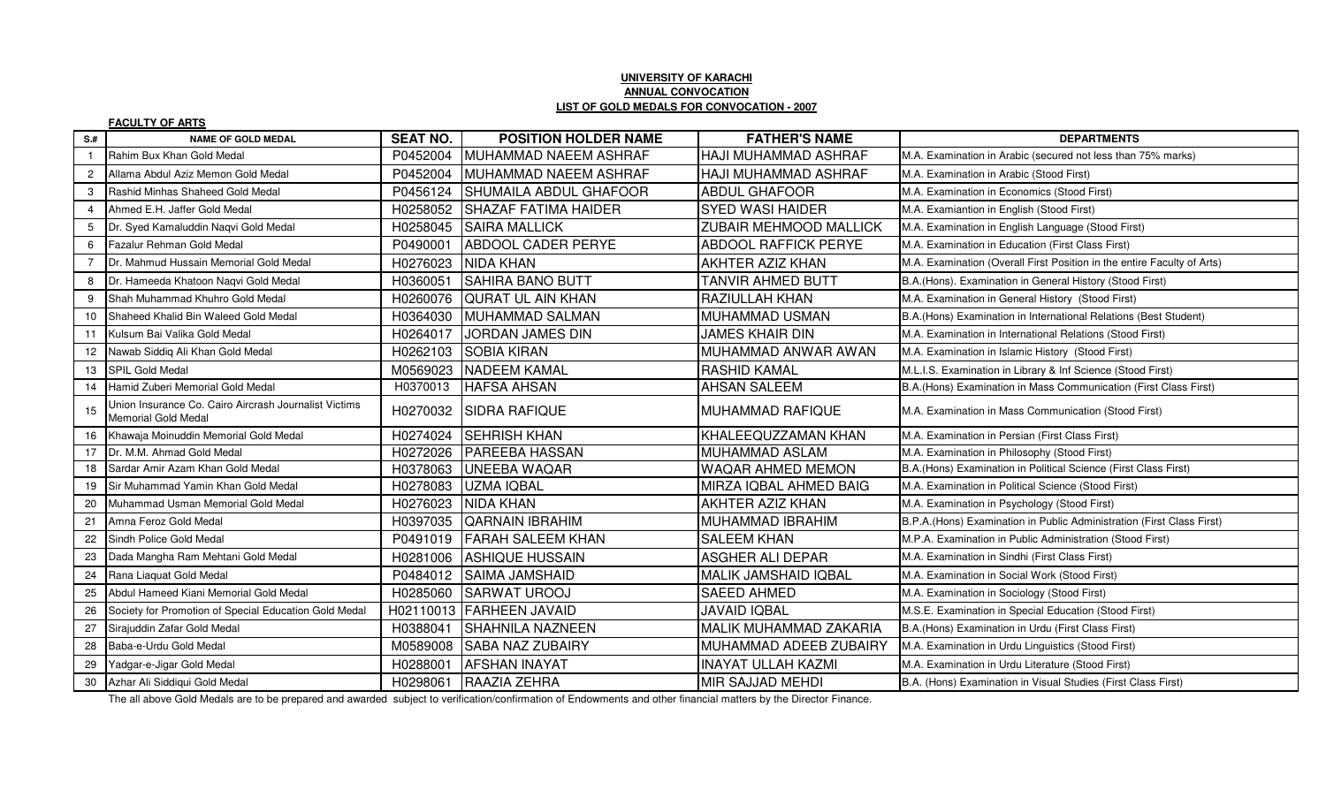## **UNIVERSITY OF KARACHI ANNUAL CONVOCATIONLIST OF GOLD MEDALS FOR CONVOCATION - 2007**

|                | <b>FACULTY OF ARTS</b>                                                       |                 |                               |                               |                                                                         |
|----------------|------------------------------------------------------------------------------|-----------------|-------------------------------|-------------------------------|-------------------------------------------------------------------------|
| $S+$           | <b>NAME OF GOLD MEDAL</b>                                                    | <b>SEAT NO.</b> | <b>POSITION HOLDER NAME</b>   | <b>FATHER'S NAME</b>          | <b>DEPARTMENTS</b>                                                      |
|                | Rahim Bux Khan Gold Medal                                                    | P0452004        | MUHAMMAD NAEEM ASHRAF         | HAJI MUHAMMAD ASHRAF          | M.A. Examination in Arabic (secured not less than 75% marks)            |
| $\overline{2}$ | Allama Abdul Aziz Memon Gold Medal                                           | P0452004        | MUHAMMAD NAEEM ASHRAF         | HAJI MUHAMMAD ASHRAF          | M.A. Examination in Arabic (Stood First)                                |
| 3              | Rashid Minhas Shaheed Gold Medal                                             | P0456124        | <b>SHUMAILA ABDUL GHAFOOR</b> | <b>ABDUL GHAFOOR</b>          | M.A. Examination in Economics (Stood First)                             |
| $\overline{4}$ | Ahmed E.H. Jaffer Gold Medal                                                 | H0258052        | <b>SHAZAF FATIMA HAIDER</b>   | <b>SYED WASI HAIDER</b>       | M.A. Examiantion in English (Stood First)                               |
| 5              | Dr. Syed Kamaluddin Naqvi Gold Medal                                         | H0258045        | <b>SAIRA MALLICK</b>          | <b>ZUBAIR MEHMOOD MALLICK</b> | M.A. Examination in English Language (Stood First)                      |
| 6              | Fazalur Rehman Gold Medal                                                    | P0490001        | <b>ABDOOL CADER PERYE</b>     | <b>ABDOOL RAFFICK PERYE</b>   | M.A. Examination in Education (First Class First)                       |
|                | Dr. Mahmud Hussain Memorial Gold Medal                                       | H0276023        | NIDA KHAN                     | AKHTER AZIZ KHAN              | M.A. Examination (Overall First Position in the entire Faculty of Arts) |
| 8              | Dr. Hameeda Khatoon Naqvi Gold Medal                                         | H0360051        | <b>SAHIRA BANO BUTT</b>       | TANVIR AHMED BUTT             | B.A.(Hons). Examination in General History (Stood First)                |
| 9              | Shah Muhammad Khuhro Gold Medal                                              | H0260076        | <b>QURAT UL AIN KHAN</b>      | <b>RAZIULLAH KHAN</b>         | M.A. Examination in General History (Stood First)                       |
| 10             | Shaheed Khalid Bin Waleed Gold Medal                                         | H0364030        | MUHAMMAD SALMAN               | MUHAMMAD USMAN                | B.A.(Hons) Examination in International Relations (Best Student)        |
| 11             | Kulsum Bai Valika Gold Medal                                                 | H0264017        | <b>JORDAN JAMES DIN</b>       | <b>JAMES KHAIR DIN</b>        | M.A. Examination in International Relations (Stood First)               |
| 12             | Nawab Siddiq Ali Khan Gold Medal                                             | H0262103        | <b>SOBIA KIRAN</b>            | MUHAMMAD ANWAR AWAN           | M.A. Examination in Islamic History (Stood First)                       |
| 13             | SPIL Gold Medal                                                              | M0569023        | <b>NADEEM KAMAL</b>           | <b>RASHID KAMAL</b>           | M.L.I.S. Examination in Library & Inf Science (Stood First)             |
| 14             | Hamid Zuberi Memorial Gold Medal                                             | H0370013        | <b>HAFSA AHSAN</b>            | <b>AHSAN SALEEM</b>           | B.A.(Hons) Examination in Mass Communication (First Class First)        |
| 15             | Union Insurance Co. Cairo Aircrash Journalist Victims<br>Memorial Gold Medal | H0270032        | <b>ISIDRA RAFIQUE</b>         | <b>MUHAMMAD RAFIQUE</b>       | M.A. Examination in Mass Communication (Stood First)                    |
| 16             | Khawaja Moinuddin Memorial Gold Medal                                        | H0274024        | <b>SEHRISH KHAN</b>           | KHALEEQUZZAMAN KHAN           | M.A. Examination in Persian (First Class First)                         |
| 17             | Dr. M.M. Ahmad Gold Medal                                                    | H0272026        | <b>PAREEBA HASSAN</b>         | MUHAMMAD ASLAM                | M.A. Examination in Philosophy (Stood First)                            |
| 18             | Sardar Amir Azam Khan Gold Medal                                             | H0378063        | <b>UNEEBA WAQAR</b>           | WAQAR AHMED MEMON             | B.A.(Hons) Examination in Political Science (First Class First)         |
| 19             | Sir Muhammad Yamin Khan Gold Medal                                           | H0278083        | <b>UZMA IQBAL</b>             | MIRZA IQBAL AHMED BAIG        | M.A. Examination in Political Science (Stood First)                     |
| 20             | Muhammad Usman Memorial Gold Medal                                           | H0276023        | <b>INIDA KHAN</b>             | AKHTER AZIZ KHAN              | M.A. Examination in Psychology (Stood First)                            |
| 21             | Amna Feroz Gold Medal                                                        | H0397035        | <b>QARNAIN IBRAHIM</b>        | MUHAMMAD IBRAHIM              | B.P.A.(Hons) Examination in Public Administration (First Class First)   |
| 22             | Sindh Police Gold Medal                                                      | P0491019        | <b>FARAH SALEEM KHAN</b>      | <b>SALEEM KHAN</b>            | M.P.A. Examination in Public Administration (Stood First)               |
| 23             | Dada Mangha Ram Mehtani Gold Medal                                           | H0281006        | <b>ASHIQUE HUSSAIN</b>        | <b>ASGHER ALI DEPAR</b>       | M.A. Examination in Sindhi (First Class First)                          |
| 24             | Rana Liaquat Gold Medal                                                      | P0484012        | <b>SAIMA JAMSHAID</b>         | MALIK JAMSHAID IQBAL          | M.A. Examination in Social Work (Stood First)                           |
| 25             | Abdul Hameed Kiani Memorial Gold Medal                                       | H0285060        | <b>SARWAT UROOJ</b>           | <b>SAEED AHMED</b>            | M.A. Examination in Sociology (Stood First)                             |
| 26             | Society for Promotion of Special Education Gold Medal                        |                 | H02110013 FARHEEN JAVAID      | <b>JAVAID IQBAL</b>           | M.S.E. Examination in Special Education (Stood First)                   |
| 27             | Sirajuddin Zafar Gold Medal                                                  | H0388041        | <b>SHAHNILA NAZNEEN</b>       | MALIK MUHAMMAD ZAKARIA        | B.A.(Hons) Examination in Urdu (First Class First)                      |
| 28             | Baba-e-Urdu Gold Medal                                                       | M0589008        | <b>SABA NAZ ZUBAIRY</b>       | MUHAMMAD ADEEB ZUBAIRY        | M.A. Examination in Urdu Linguistics (Stood First)                      |
| 29             | Yadgar-e-Jigar Gold Medal                                                    | H0288001        | <b>AFSHAN INAYAT</b>          | <b>INAYAT ULLAH KAZMI</b>     | M.A. Examination in Urdu Literature (Stood First)                       |
| 30             | Azhar Ali Siddiqui Gold Medal                                                | H0298061        | RAAZIA ZEHRA                  | MIR SAJJAD MEHDI              | B.A. (Hons) Examination in Visual Studies (First Class First)           |

The all above Gold Medals are to be prepared and awarded subject to verification/confirmation of Endowments and other financial matters by the Director Finance.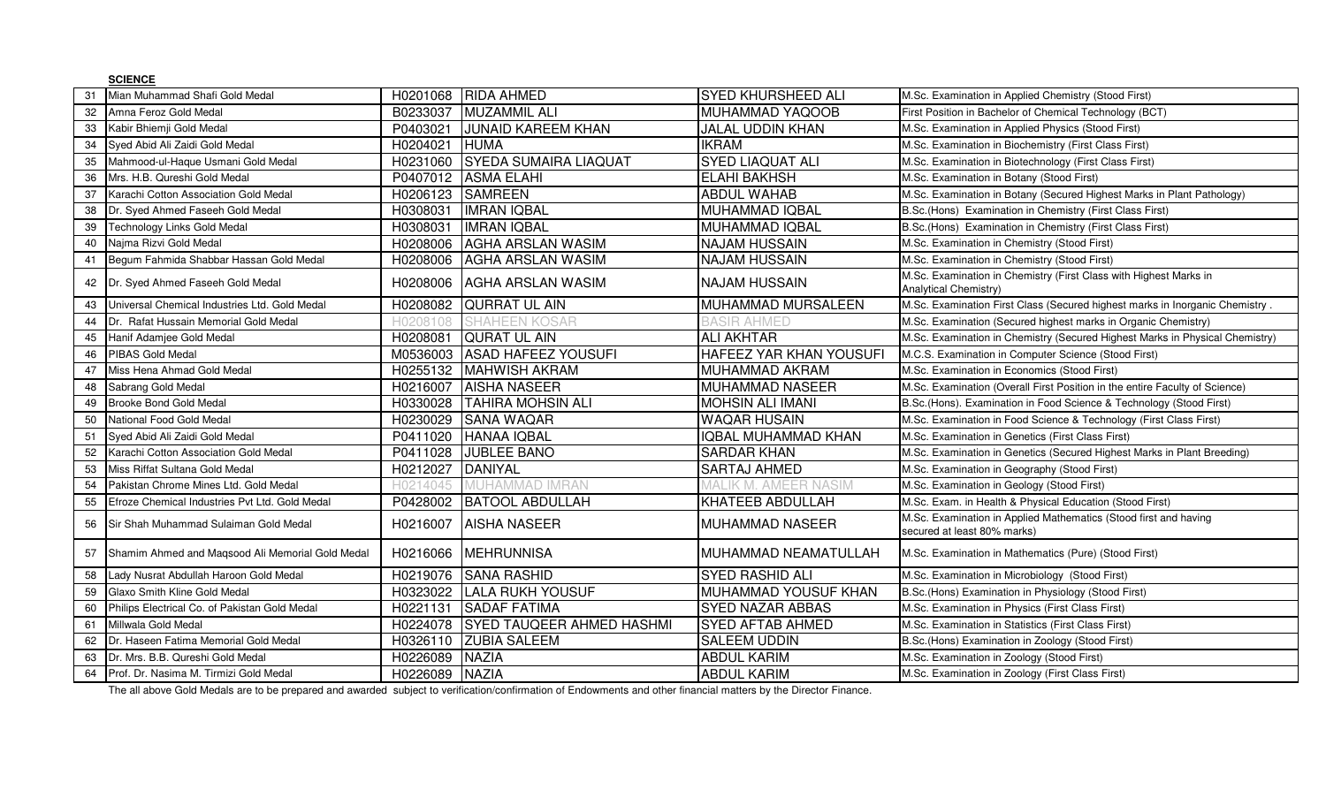|    | <b>SCIENCE</b>                                                                                                                                                                                                                  |          |                                  |                             |                                                                                                 |
|----|---------------------------------------------------------------------------------------------------------------------------------------------------------------------------------------------------------------------------------|----------|----------------------------------|-----------------------------|-------------------------------------------------------------------------------------------------|
| 31 | Mian Muhammad Shafi Gold Medal                                                                                                                                                                                                  | H0201068 | <b>RIDA AHMED</b>                | <b>SYED KHURSHEED ALI</b>   | M.Sc. Examination in Applied Chemistry (Stood First)                                            |
| 32 | Amna Feroz Gold Medal                                                                                                                                                                                                           | B0233037 | <b>MUZAMMIL ALI</b>              | MUHAMMAD YAQOOB             | First Position in Bachelor of Chemical Technology (BCT)                                         |
| 33 | Kabir Bhiemji Gold Medal                                                                                                                                                                                                        | P0403021 | <b>JUNAID KAREEM KHAN</b>        | <b>JALAL UDDIN KHAN</b>     | M.Sc. Examination in Applied Physics (Stood First)                                              |
| 34 | Syed Abid Ali Zaidi Gold Medal                                                                                                                                                                                                  | H0204021 | <b>HUMA</b>                      | <b>IKRAM</b>                | M.Sc. Examination in Biochemistry (First Class First)                                           |
| 35 | Mahmood-ul-Haque Usmani Gold Medal                                                                                                                                                                                              | H0231060 | <b>SYEDA SUMAIRA LIAQUAT</b>     | <b>SYED LIAQUAT ALI</b>     | M.Sc. Examination in Biotechnology (First Class First)                                          |
| 36 | Mrs. H.B. Qureshi Gold Medal                                                                                                                                                                                                    | P0407012 | <b>ASMA ELAHI</b>                | <b>ELAHI BAKHSH</b>         | M.Sc. Examination in Botany (Stood First)                                                       |
| 37 | Karachi Cotton Association Gold Medal                                                                                                                                                                                           | H0206123 | <b>SAMREEN</b>                   | <b>ABDUL WAHAB</b>          | M.Sc. Examination in Botany (Secured Highest Marks in Plant Pathology)                          |
| 38 | Dr. Syed Ahmed Faseeh Gold Medal                                                                                                                                                                                                | H0308031 | <b>IMRAN IQBAL</b>               | MUHAMMAD IQBAL              | B.Sc.(Hons) Examination in Chemistry (First Class First)                                        |
|    | 39 Technology Links Gold Medal                                                                                                                                                                                                  | H0308031 | <b>IMRAN IQBAL</b>               | <b>MUHAMMAD IQBAL</b>       | B.Sc.(Hons) Examination in Chemistry (First Class First)                                        |
| 40 | Najma Rizvi Gold Medal                                                                                                                                                                                                          | H0208006 | <b>AGHA ARSLAN WASIM</b>         | <b>NAJAM HUSSAIN</b>        | M.Sc. Examination in Chemistry (Stood First)                                                    |
| 41 | Begum Fahmida Shabbar Hassan Gold Medal                                                                                                                                                                                         | H0208006 | <b>AGHA ARSLAN WASIM</b>         | <b>NAJAM HUSSAIN</b>        | M.Sc. Examination in Chemistry (Stood First)                                                    |
| 42 | Dr. Syed Ahmed Faseeh Gold Medal                                                                                                                                                                                                | H0208006 | <b>AGHA ARSLAN WASIM</b>         | <b>NAJAM HUSSAIN</b>        | M.Sc. Examination in Chemistry (First Class with Highest Marks in<br>Analytical Chemistry)      |
| 43 | Universal Chemical Industries Ltd. Gold Medal                                                                                                                                                                                   | H0208082 | QURRAT UL AIN                    | MUHAMMAD MURSALEEN          | M.Sc. Examination First Class (Secured highest marks in Inorganic Chemistry                     |
| 44 | Dr. Rafat Hussain Memorial Gold Medal                                                                                                                                                                                           | H0208108 | EEN KOSAR                        | BASIR AHMED                 | M.Sc. Examination (Secured highest marks in Organic Chemistry)                                  |
| 45 | Hanif Adamjee Gold Medal                                                                                                                                                                                                        | H0208081 | <b>QURAT UL AIN</b>              | <b>ALI AKHTAR</b>           | M.Sc. Examination in Chemistry (Secured Highest Marks in Physical Chemistry)                    |
| 46 | PIBAS Gold Medal                                                                                                                                                                                                                | M0536003 | <b>ASAD HAFEEZ YOUSUFI</b>       | HAFEEZ YAR KHAN YOUSUFI     | M.C.S. Examination in Computer Science (Stood First)                                            |
| 47 | Miss Hena Ahmad Gold Medal                                                                                                                                                                                                      | H0255132 | <b>MAHWISH AKRAM</b>             | MUHAMMAD AKRAM              | M.Sc. Examination in Economics (Stood First)                                                    |
| 48 | Sabrang Gold Medal                                                                                                                                                                                                              | H0216007 | <b>AISHA NASEER</b>              | <b>MUHAMMAD NASEER</b>      | M.Sc. Examination (Overall First Position in the entire Faculty of Science)                     |
| 49 | Brooke Bond Gold Medal                                                                                                                                                                                                          | H0330028 | <b>TAHIRA MOHSIN ALI</b>         | <b>MOHSIN ALI IMANI</b>     | B.Sc.(Hons). Examination in Food Science & Technology (Stood First)                             |
| 50 | National Food Gold Medal                                                                                                                                                                                                        | H0230029 | <b>SANA WAQAR</b>                | <b>WAQAR HUSAIN</b>         | M.Sc. Examination in Food Science & Technology (First Class First)                              |
| 51 | Syed Abid Ali Zaidi Gold Medal                                                                                                                                                                                                  | P0411020 | HANAA IQBAL                      | IQBAL MUHAMMAD KHAN         | M.Sc. Examination in Genetics (First Class First)                                               |
| 52 | Karachi Cotton Association Gold Medal                                                                                                                                                                                           | P0411028 | <b>JUBLEE BANO</b>               | <b>SARDAR KHAN</b>          | M.Sc. Examination in Genetics (Secured Highest Marks in Plant Breeding)                         |
| 53 | Miss Riffat Sultana Gold Medal                                                                                                                                                                                                  | H0212027 | DANIYAL                          | <b>SARTAJ AHMED</b>         | M.Sc. Examination in Geography (Stood First)                                                    |
| 54 | Pakistan Chrome Mines Ltd. Gold Medal                                                                                                                                                                                           | H0214045 | <b>JUHAMMAD IMRAN</b>            | <b>MALIK M. AMEER NASIM</b> | M.Sc. Examination in Geology (Stood First)                                                      |
| 55 | Efroze Chemical Industries Pvt Ltd. Gold Medal                                                                                                                                                                                  | P0428002 | <b>BATOOL ABDULLAH</b>           | KHATEEB ABDULLAH            | M.Sc. Exam. in Health & Physical Education (Stood First)                                        |
| 56 | Sir Shah Muhammad Sulaiman Gold Medal                                                                                                                                                                                           | H0216007 | <b>AISHA NASEER</b>              | <b>MUHAMMAD NASEER</b>      | M.Sc. Examination in Applied Mathematics (Stood first and having<br>secured at least 80% marks) |
| 57 | Shamim Ahmed and Maqsood Ali Memorial Gold Medal                                                                                                                                                                                | H0216066 | <b>MEHRUNNISA</b>                | MUHAMMAD NEAMATULLAH        | M.Sc. Examination in Mathematics (Pure) (Stood First)                                           |
| 58 | Lady Nusrat Abdullah Haroon Gold Medal                                                                                                                                                                                          | H0219076 | <b>SANA RASHID</b>               | <b>SYED RASHID ALI</b>      | M.Sc. Examination in Microbiology (Stood First)                                                 |
| 59 | Glaxo Smith Kline Gold Medal                                                                                                                                                                                                    | H0323022 | <b>LALA RUKH YOUSUF</b>          | MUHAMMAD YOUSUF KHAN        | B.Sc.(Hons) Examination in Physiology (Stood First)                                             |
| 60 | Philips Electrical Co. of Pakistan Gold Medal                                                                                                                                                                                   | H0221131 | <b>SADAF FATIMA</b>              | <b>SYED NAZAR ABBAS</b>     | M.Sc. Examination in Physics (First Class First)                                                |
| 61 | Millwala Gold Medal                                                                                                                                                                                                             | H0224078 | <b>SYED TAUQEER AHMED HASHMI</b> | <b>SYED AFTAB AHMED</b>     | M.Sc. Examination in Statistics (First Class First)                                             |
| 62 | Dr. Haseen Fatima Memorial Gold Medal                                                                                                                                                                                           | H0326110 | <b>ZUBIA SALEEM</b>              | <b>SALEEM UDDIN</b>         | B.Sc.(Hons) Examination in Zoology (Stood First)                                                |
| 63 | Dr. Mrs. B.B. Qureshi Gold Medal                                                                                                                                                                                                | H0226089 | <b>NAZIA</b>                     | <b>ABDUL KARIM</b>          | M.Sc. Examination in Zoology (Stood First)                                                      |
| 64 | Prof. Dr. Nasima M. Tirmizi Gold Medal                                                                                                                                                                                          | H0226089 | <b>NAZIA</b>                     | <b>ABDUL KARIM</b>          | M.Sc. Examination in Zoology (First Class First)                                                |
|    | $\tau$ . The contract of the contract of the contract of the contract of the contract of the contract of the contract of the contract of the contract of the contract of the contract of the contract of the contract of the co |          | $\sim$ $\sim$ $\sim$ $\sim$      |                             |                                                                                                 |

The all above Gold Medals are to be prepared and awarded subject to verification/confirmation of Endowments and other financial matters by the Director Finance.